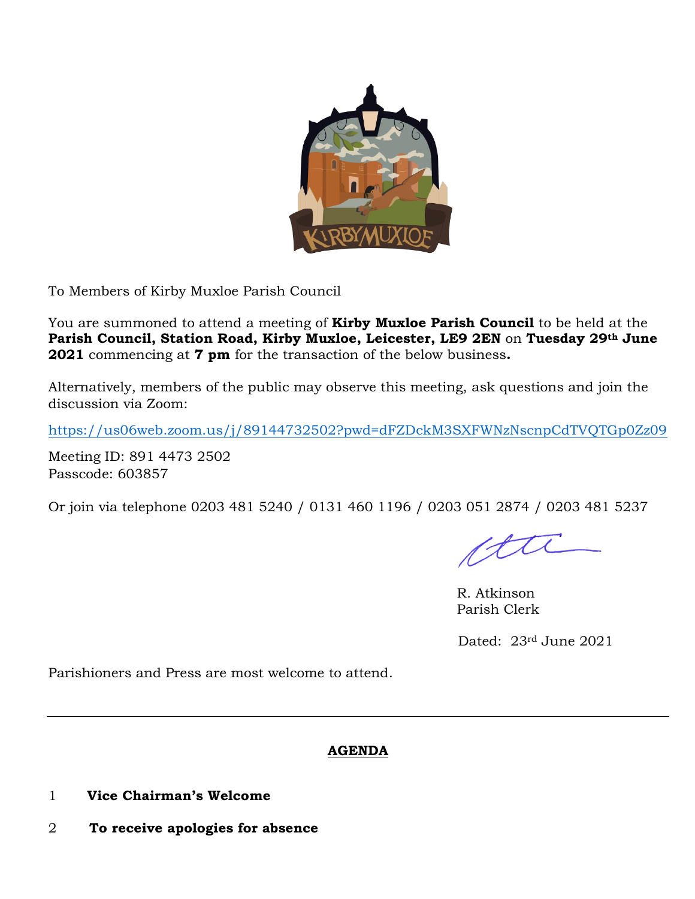

To Members of Kirby Muxloe Parish Council

You are summoned to attend a meeting of **Kirby Muxloe Parish Council** to be held at the **Parish Council, Station Road, Kirby Muxloe, Leicester, LE9 2EN** on **Tuesday 29th June 2021** commencing at **7 pm** for the transaction of the below business**.**

Alternatively, members of the public may observe this meeting, ask questions and join the discussion via Zoom:

<https://us06web.zoom.us/j/89144732502?pwd=dFZDckM3SXFWNzNscnpCdTVQTGp0Zz09>

Meeting ID: 891 4473 2502 Passcode: 603857

Or join via telephone 0203 481 5240 / 0131 460 1196 / 0203 051 2874 / 0203 481 5237

1 tt

R. Atkinson Parish Clerk

Dated: 23rd June 2021

Parishioners and Press are most welcome to attend.

## **AGENDA**

- 1 **Vice Chairman's Welcome**
- 2 **To receive apologies for absence**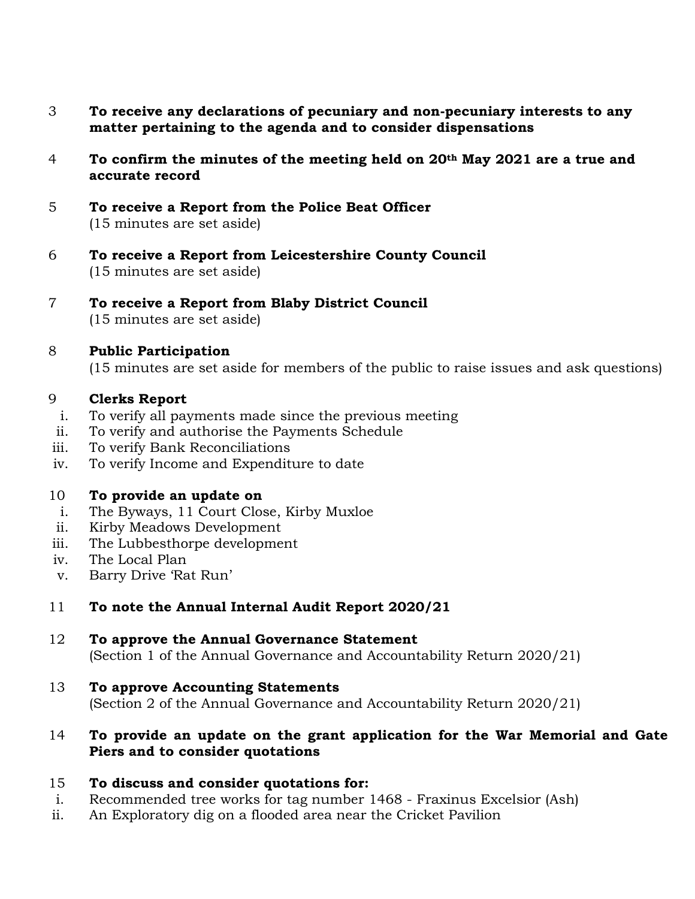- 3 **To receive any declarations of pecuniary and non-pecuniary interests to any matter pertaining to the agenda and to consider dispensations**
- 4 **To confirm the minutes of the meeting held on 20th May 2021 are a true and accurate record**
- 5 **To receive a Report from the Police Beat Officer** (15 minutes are set aside)
- 6 **To receive a Report from Leicestershire County Council** (15 minutes are set aside)
- 7 **To receive a Report from Blaby District Council** (15 minutes are set aside)
- 8 **Public Participation**

(15 minutes are set aside for members of the public to raise issues and ask questions)

## 9 **Clerks Report**

- i. To verify all payments made since the previous meeting
- ii. To verify and authorise the Payments Schedule
- iii. To verify Bank Reconciliations
- iv. To verify Income and Expenditure to date

## 10 **To provide an update on**

- i. The Byways, 11 Court Close, Kirby Muxloe
- ii. Kirby Meadows Development
- iii. The Lubbesthorpe development
- iv. The Local Plan
- v. Barry Drive 'Rat Run'

## 11 **To note the Annual Internal Audit Report 2020/21**

#### 12 **To approve the Annual Governance Statement**  (Section 1 of the Annual Governance and Accountability Return 2020/21)

## 13 **To approve Accounting Statements**

(Section 2 of the Annual Governance and Accountability Return 2020/21)

## 14 **To provide an update on the grant application for the War Memorial and Gate Piers and to consider quotations**

## 15 **To discuss and consider quotations for:**

- i. Recommended tree works for tag number 1468 Fraxinus Excelsior (Ash)
- ii. An Exploratory dig on a flooded area near the Cricket Pavilion